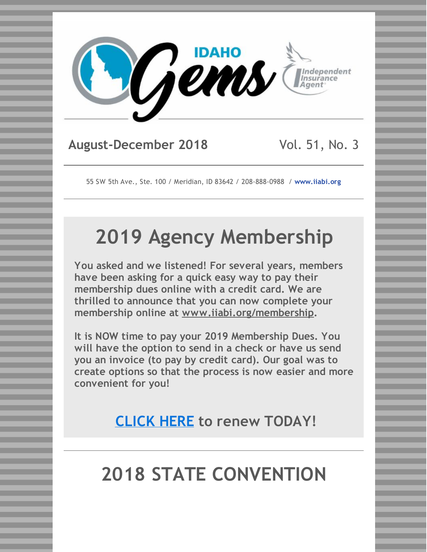

## **August-December 2018** Vol. 51, No. 3

55 SW 5th Ave., Ste. 100 / Meridian, ID 83642 / 208-888-0988 / **[www.iiabi.org](http://www.iiabi.org)**

# **2019 Agency Membership**

**You asked and we listened! For several years, members have been asking for a quick easy way to pay their membership dues online with a credit card. We are thrilled to announce that you can now complete your membership online at [www.iiabi.org/membership](https://www.iiabi.org/membership).**

**It is NOW time to pay your 2019 Membership Dues. You will have the option to send in a check or have us send you an invoice (to pay by credit card). Our goal was to create options so that the process is now easier and more convenient for you!**

**[CLICK](https://www.iiabi.org/agency-membership-app) HERE to renew TODAY!**

# **2018 STATE CONVENTION**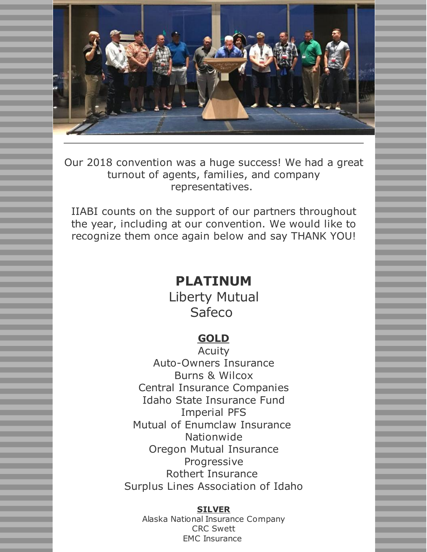

Our 2018 convention was a huge success! We had a great turnout of agents, families, and company representatives.

IIABI counts on the support of our partners throughout the year, including at our convention. We would like to recognize them once again below and say THANK YOU!

## **PLATINUM**

Liberty Mutual Safeco

### **GOLD**

Acuity Auto-Owners Insurance Burns & Wilcox Central Insurance Companies Idaho State Insurance Fund Imperial PFS Mutual of Enumclaw Insurance Nationwide Oregon Mutual Insurance Progressive Rothert Insurance Surplus Lines Association of Idaho

#### **SILVER**

Alaska National Insurance Company CRC Swett EMC Insurance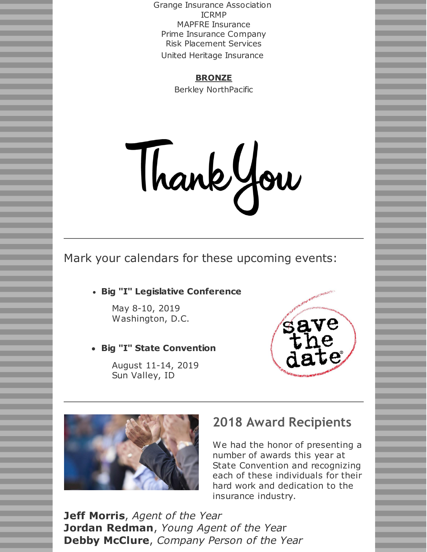Grange Insurance Association ICRMP MAPFRE Insurance Prime Insurance Company Risk Placement Services United Heritage Insurance

#### **BRONZE**

Berkley NorthPacific

Thankyou

Mark your calendars for these upcoming events:

#### **Big "I" Legislative Conference**

May 8-10, 2019 Washington, D.C.

**Big "I" State Convention**

August 11-14, 2019 Sun Valley, ID





### **2018 Award Recipients**

We had the honor of presenting a number of awards this year at State Convention and recognizing each of these individuals for their hard work and dedication to the insurance industry.

**Jeff Morris**, *Agent of the Year* **Jordan Redman**, *Young Agent of the Yea*r **Debby McClure**, *Company Person of the Year*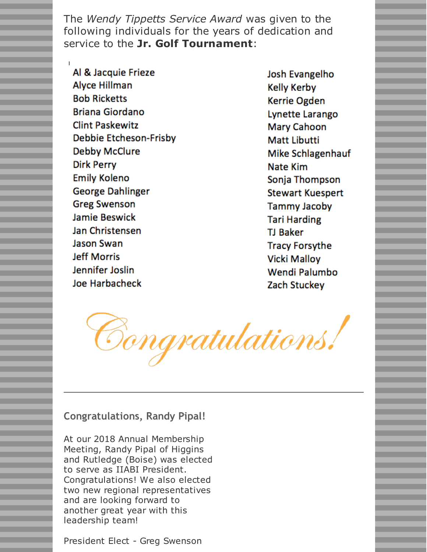The *Wendy Tippetts Service Award* was given to the following individuals for the years of dedication and service to the **Jr. Golf Tournament**:

Al & Jacquie Frieze Alyce Hillman **Bob Ricketts Briana Giordano Clint Paskewitz Debbie Etcheson-Frisby** Debby McClure **Dirk Perry Emily Koleno George Dahlinger Greg Swenson** Jamie Beswick Jan Christensen Jason Swan **Jeff Morris Jennifer Joslin** Joe Harbacheck

Josh Evangelho **Kelly Kerby** Kerrie Ogden Lynette Larango **Mary Cahoon Matt Libutti** Mike Schlagenhauf Nate Kim Sonja Thompson **Stewart Kuespert Tammy Jacoby Tari Harding TJ Baker Tracy Forsythe** Vicki Mallov Wendi Palumbo Zach Stuckey

Congratulations!

#### **Congratulations, Randy Pipal!**

At our 2018 Annual Membership Meeting, Randy Pipal of Higgins and Rutledge (Boise) was elected to serve as IIABI President. Congratulations! We also elected two new regional representatives and are looking forward to another great year with this leadership team!

President Elect - Greg Swenson